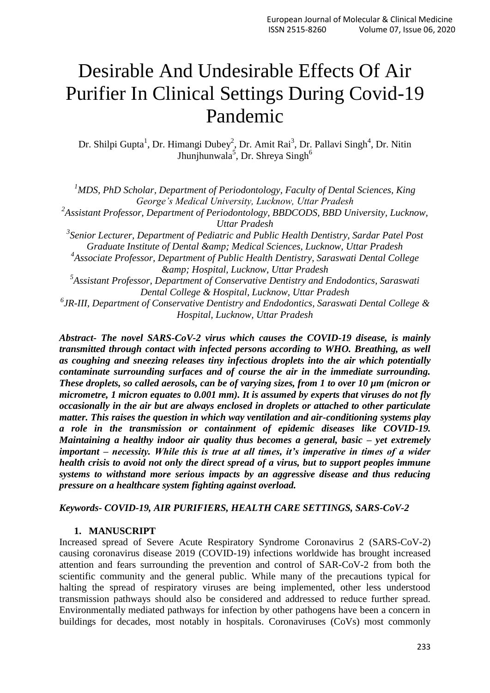# Desirable And Undesirable Effects Of Air Purifier In Clinical Settings During Covid-19 Pandemic

Dr. Shilpi Gupta<sup>1</sup>, Dr. Himangi Dubey<sup>2</sup>, Dr. Amit Rai<sup>3</sup>, Dr. Pallavi Singh<sup>4</sup>, Dr. Nitin Jhunjhunwala<sup>5</sup>, Dr. Shreya Singh<sup>6</sup>

*<sup>1</sup>MDS, PhD Scholar, Department of Periodontology, Faculty of Dental Sciences, King George's Medical University, Lucknow, Uttar Pradesh*

<sup>2</sup> Assistant Professor, Department of Periodontology, BBDCODS, BBD University, Lucknow, *Uttar Pradesh*

*3 Senior Lecturer, Department of Pediatric and Public Health Dentistry, Sardar Patel Post Graduate Institute of Dental & Medical Sciences, Lucknow, Uttar Pradesh*

*4 Associate Professor, Department of Public Health Dentistry, Saraswati Dental College & Hospital, Lucknow, Uttar Pradesh*

*5 Assistant Professor, Department of Conservative Dentistry and Endodontics, Saraswati Dental College & Hospital, Lucknow, Uttar Pradesh*

*6 JR-III, Department of Conservative Dentistry and Endodontics, Saraswati Dental College & Hospital, Lucknow, Uttar Pradesh*

*Abstract- The novel SARS-CoV-2 virus which causes the COVID-19 disease, is mainly transmitted through contact with infected persons according to WHO. Breathing, as well as coughing and sneezing releases tiny infectious droplets into the air which potentially contaminate surrounding surfaces and of course the air in the immediate surrounding. These droplets, so called aerosols, can be of varying sizes, from 1 to over 10 µm (micron or micrometre, 1 micron equates to 0.001 mm). It is assumed by experts that viruses do not fly occasionally in the air but are always enclosed in droplets or attached to other particulate matter. This raises the question in which way ventilation and air-conditioning systems play a role in the transmission or containment of epidemic diseases like COVID-19. Maintaining a healthy indoor air quality thus becomes a general, basic – yet extremely important – necessity. While this is true at all times, it's imperative in times of a wider health crisis to avoid not only the direct spread of a virus, but to support peoples immune systems to withstand more serious impacts by an aggressive disease and thus reducing pressure on a healthcare system fighting against overload.*

## *Keywords- COVID-19, AIR PURIFIERS, HEALTH CARE SETTINGS, SARS-CoV-2*

### **1. MANUSCRIPT**

Increased spread of Severe Acute Respiratory Syndrome Coronavirus 2 (SARS-CoV-2) causing coronavirus disease 2019 (COVID-19) infections worldwide has brought increased attention and fears surrounding the prevention and control of SAR-CoV-2 from both the scientific community and the general public. While many of the precautions typical for halting the spread of respiratory viruses are being implemented, other less understood transmission pathways should also be considered and addressed to reduce further spread. Environmentally mediated pathways for infection by other pathogens have been a concern in buildings for decades, most notably in hospitals. Coronaviruses (CoVs) most commonly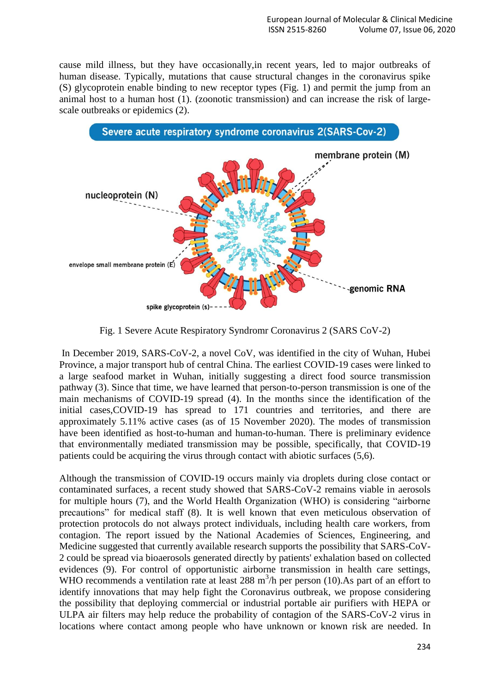cause mild illness, but they have occasionally,in recent years, led to major outbreaks of human disease. Typically, mutations that cause structural changes in the coronavirus spike (S) glycoprotein enable binding to new receptor types (Fig. 1) and permit the jump from an animal host to a human host (1). (zoonotic transmission) and can increase the risk of largescale outbreaks or epidemics (2).



Fig. 1 Severe Acute Respiratory Syndromr Coronavirus 2 (SARS CoV-2)

In December 2019, SARS-CoV-2, a novel CoV, was identified in the city of Wuhan, Hubei Province, a major transport hub of central China. The earliest COVID-19 cases were linked to a large seafood market in Wuhan, initially suggesting a direct food source transmission pathway (3). Since that time, we have learned that person-to-person transmission is one of the main mechanisms of COVID-19 spread (4). In the months since the identification of the initial cases,COVID-19 has spread to 171 countries and territories, and there are approximately 5.11% active cases (as of 15 November 2020). The modes of transmission have been identified as host-to-human and human-to-human. There is preliminary evidence that environmentally mediated transmission may be possible, specifically, that COVID-19 patients could be acquiring the virus through contact with abiotic surfaces (5,6).

Although the transmission of COVID-19 occurs mainly via droplets during close contact or contaminated surfaces, a recent study showed that SARS-CoV-2 remains viable in aerosols for multiple hours (7), and the World Health Organization (WHO) is considering "airborne precautions" for medical staff (8). It is well known that even meticulous observation of protection protocols do not always protect individuals, including health care workers, from contagion. The report issued by the National Academies of Sciences, Engineering, and Medicine suggested that currently available research supports the possibility that SARS-CoV-2 could be spread via bioaerosols generated directly by patients' exhalation based on collected evidences (9). For control of opportunistic airborne transmission in health care settings, WHO recommends a ventilation rate at least 288  $m<sup>3</sup>/h$  per person (10). As part of an effort to identify innovations that may help fight the Coronavirus outbreak, we propose considering the possibility that deploying commercial or industrial portable air purifiers with HEPA or ULPA air filters may help reduce the probability of contagion of the SARS-CoV-2 virus in locations where contact among people who have unknown or known risk are needed. In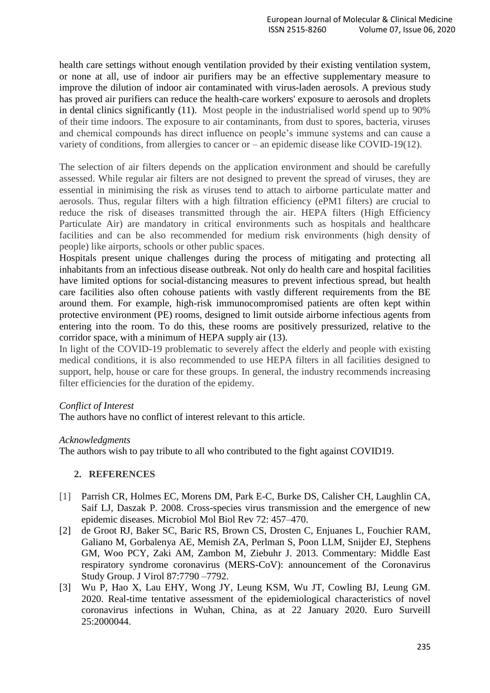health care settings without enough ventilation provided by their existing ventilation system, or none at all, use of indoor air purifiers may be an effective supplementary measure to improve the dilution of indoor air contaminated with virus-laden aerosols. A previous study has proved air purifiers can reduce the health-care workers' exposure to aerosols and droplets in dental clinics significantly (11). Most people in the industrialised world spend up to 90% of their time indoors. The exposure to air contaminants, from dust to spores, bacteria, viruses and chemical compounds has direct influence on people"s immune systems and can cause a variety of conditions, from allergies to cancer or – an epidemic disease like COVID-19(12).

The selection of air filters depends on the application environment and should be carefully assessed. While regular air filters are not designed to prevent the spread of viruses, they are essential in minimising the risk as viruses tend to attach to airborne particulate matter and aerosols. Thus, regular filters with a high filtration efficiency (ePM1 filters) are crucial to reduce the risk of diseases transmitted through the air. HEPA filters (High Efficiency Particulate Air) are mandatory in critical environments such as hospitals and healthcare facilities and can be also recommended for medium risk environments (high density of people) like airports, schools or other public spaces.

Hospitals present unique challenges during the process of mitigating and protecting all inhabitants from an infectious disease outbreak. Not only do health care and hospital facilities have limited options for social-distancing measures to prevent infectious spread, but health care facilities also often cohouse patients with vastly different requirements from the BE around them. For example, high-risk immunocompromised patients are often kept within protective environment (PE) rooms, designed to limit outside airborne infectious agents from entering into the room. To do this, these rooms are positively pressurized, relative to the corridor space, with a minimum of HEPA supply air (13).

In light of the COVID-19 problematic to severely affect the elderly and people with existing medical conditions, it is also recommended to use HEPA filters in all facilities designed to support, help, house or care for these groups. In general, the industry recommends increasing filter efficiencies for the duration of the epidemy.

## *Conflict of Interest*

The authors have no conflict of interest relevant to this article.

## *Acknowledgments*

The authors wish to pay tribute to all who contributed to the fight against COVID19.

## **2. REFERENCES**

- [1] Parrish CR, Holmes EC, Morens DM, Park E-C, Burke DS, Calisher CH, Laughlin CA, Saif LJ, Daszak P. 2008. Cross-species virus transmission and the emergence of new epidemic diseases. Microbiol Mol Biol Rev 72: 457–470.
- [2] de Groot RJ, Baker SC, Baric RS, Brown CS, Drosten C, Enjuanes L, Fouchier RAM, Galiano M, Gorbalenya AE, Memish ZA, Perlman S, Poon LLM, Snijder EJ, Stephens GM, Woo PCY, Zaki AM, Zambon M, Ziebuhr J. 2013. Commentary: Middle East respiratory syndrome coronavirus (MERS-CoV): announcement of the Coronavirus Study Group. J Virol 87:7790 –7792.
- [3] Wu P, Hao X, Lau EHY, Wong JY, Leung KSM, Wu JT, Cowling BJ, Leung GM. 2020. Real-time tentative assessment of the epidemiological characteristics of novel coronavirus infections in Wuhan, China, as at 22 January 2020. Euro Surveill 25:2000044.